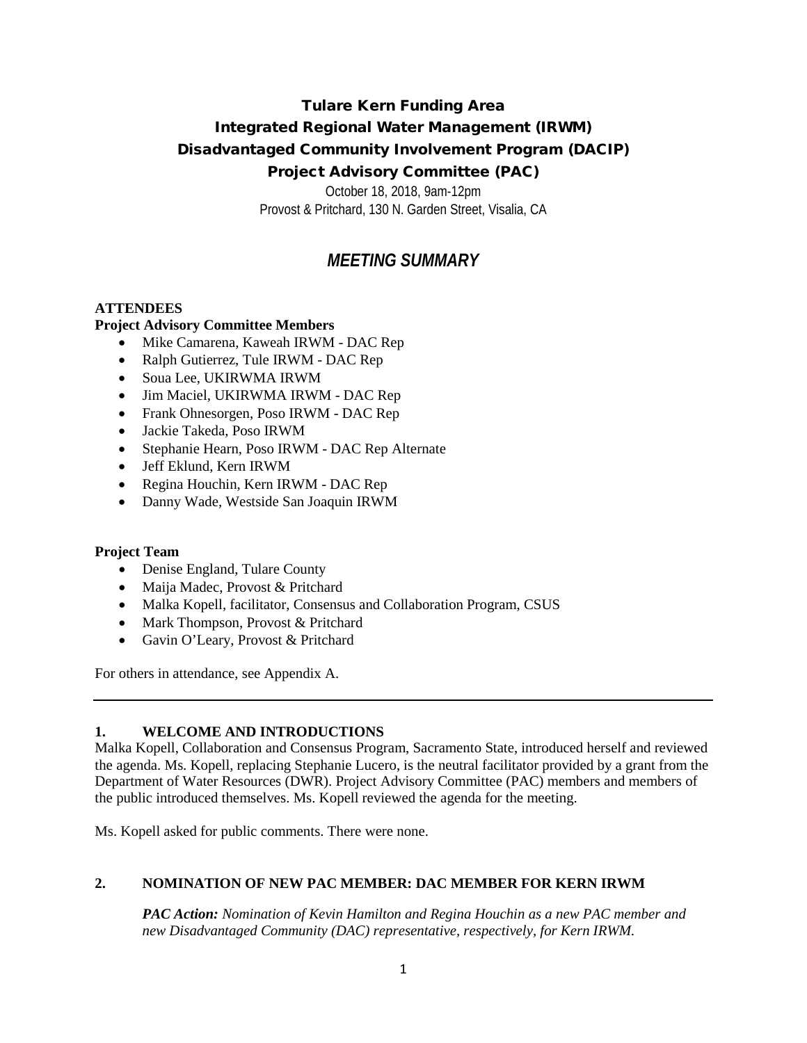# Tulare Kern Funding Area Integrated Regional Water Management (IRWM) Disadvantaged Community Involvement Program (DACIP) Project Advisory Committee (PAC)

October 18, 2018, 9am-12pm Provost & Pritchard, 130 N. Garden Street, Visalia, CA

# *MEETING SUMMARY*

# **ATTENDEES**

## **Project Advisory Committee Members**

- Mike Camarena, Kaweah IRWM DAC Rep
- Ralph Gutierrez, Tule IRWM DAC Rep
- Soua Lee, UKIRWMA IRWM
- Jim Maciel, UKIRWMA IRWM DAC Rep
- Frank Ohnesorgen, Poso IRWM DAC Rep
- Jackie Takeda, Poso IRWM
- Stephanie Hearn, Poso IRWM DAC Rep Alternate
- Jeff Eklund, Kern IRWM
- Regina Houchin, Kern IRWM DAC Rep
- Danny Wade, Westside San Joaquin IRWM

#### **Project Team**

- Denise England, Tulare County
- Maija Madec, Provost & Pritchard
- Malka Kopell, facilitator, Consensus and Collaboration Program, CSUS
- Mark Thompson, Provost & Pritchard
- Gavin O'Leary, Provost & Pritchard

For others in attendance, see Appendix A.

#### **1. WELCOME AND INTRODUCTIONS**

Malka Kopell, Collaboration and Consensus Program, Sacramento State, introduced herself and reviewed the agenda. Ms. Kopell, replacing Stephanie Lucero, is the neutral facilitator provided by a grant from the Department of Water Resources (DWR). Project Advisory Committee (PAC) members and members of the public introduced themselves. Ms. Kopell reviewed the agenda for the meeting.

Ms. Kopell asked for public comments. There were none.

# **2. NOMINATION OF NEW PAC MEMBER: DAC MEMBER FOR KERN IRWM**

*PAC Action: Nomination of Kevin Hamilton and Regina Houchin as a new PAC member and new Disadvantaged Community (DAC) representative, respectively, for Kern IRWM.*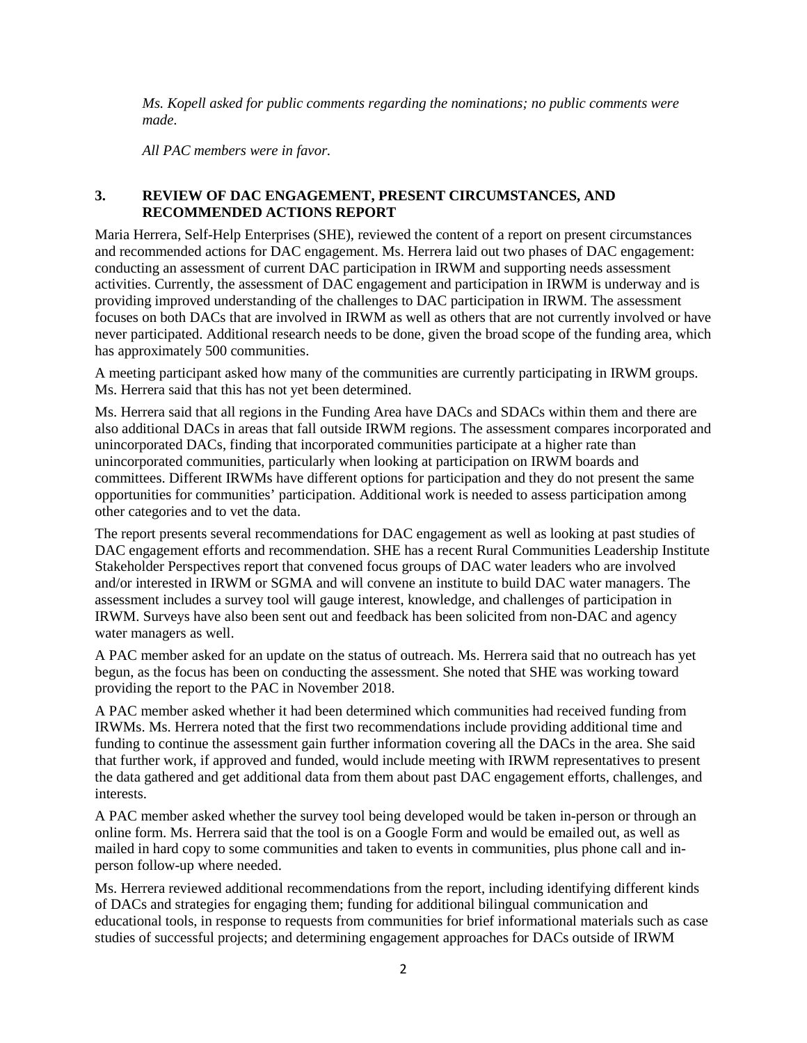*Ms. Kopell asked for public comments regarding the nominations; no public comments were made.*

*All PAC members were in favor.* 

## **3. REVIEW OF DAC ENGAGEMENT, PRESENT CIRCUMSTANCES, AND RECOMMENDED ACTIONS REPORT**

Maria Herrera, Self-Help Enterprises (SHE), reviewed the content of a report on present circumstances and recommended actions for DAC engagement. Ms. Herrera laid out two phases of DAC engagement: conducting an assessment of current DAC participation in IRWM and supporting needs assessment activities. Currently, the assessment of DAC engagement and participation in IRWM is underway and is providing improved understanding of the challenges to DAC participation in IRWM. The assessment focuses on both DACs that are involved in IRWM as well as others that are not currently involved or have never participated. Additional research needs to be done, given the broad scope of the funding area, which has approximately 500 communities.

A meeting participant asked how many of the communities are currently participating in IRWM groups. Ms. Herrera said that this has not yet been determined.

Ms. Herrera said that all regions in the Funding Area have DACs and SDACs within them and there are also additional DACs in areas that fall outside IRWM regions. The assessment compares incorporated and unincorporated DACs, finding that incorporated communities participate at a higher rate than unincorporated communities, particularly when looking at participation on IRWM boards and committees. Different IRWMs have different options for participation and they do not present the same opportunities for communities' participation. Additional work is needed to assess participation among other categories and to vet the data.

The report presents several recommendations for DAC engagement as well as looking at past studies of DAC engagement efforts and recommendation. SHE has a recent Rural Communities Leadership Institute Stakeholder Perspectives report that convened focus groups of DAC water leaders who are involved and/or interested in IRWM or SGMA and will convene an institute to build DAC water managers. The assessment includes a survey tool will gauge interest, knowledge, and challenges of participation in IRWM. Surveys have also been sent out and feedback has been solicited from non-DAC and agency water managers as well.

A PAC member asked for an update on the status of outreach. Ms. Herrera said that no outreach has yet begun, as the focus has been on conducting the assessment. She noted that SHE was working toward providing the report to the PAC in November 2018.

A PAC member asked whether it had been determined which communities had received funding from IRWMs. Ms. Herrera noted that the first two recommendations include providing additional time and funding to continue the assessment gain further information covering all the DACs in the area. She said that further work, if approved and funded, would include meeting with IRWM representatives to present the data gathered and get additional data from them about past DAC engagement efforts, challenges, and interests.

A PAC member asked whether the survey tool being developed would be taken in-person or through an online form. Ms. Herrera said that the tool is on a Google Form and would be emailed out, as well as mailed in hard copy to some communities and taken to events in communities, plus phone call and inperson follow-up where needed.

Ms. Herrera reviewed additional recommendations from the report, including identifying different kinds of DACs and strategies for engaging them; funding for additional bilingual communication and educational tools, in response to requests from communities for brief informational materials such as case studies of successful projects; and determining engagement approaches for DACs outside of IRWM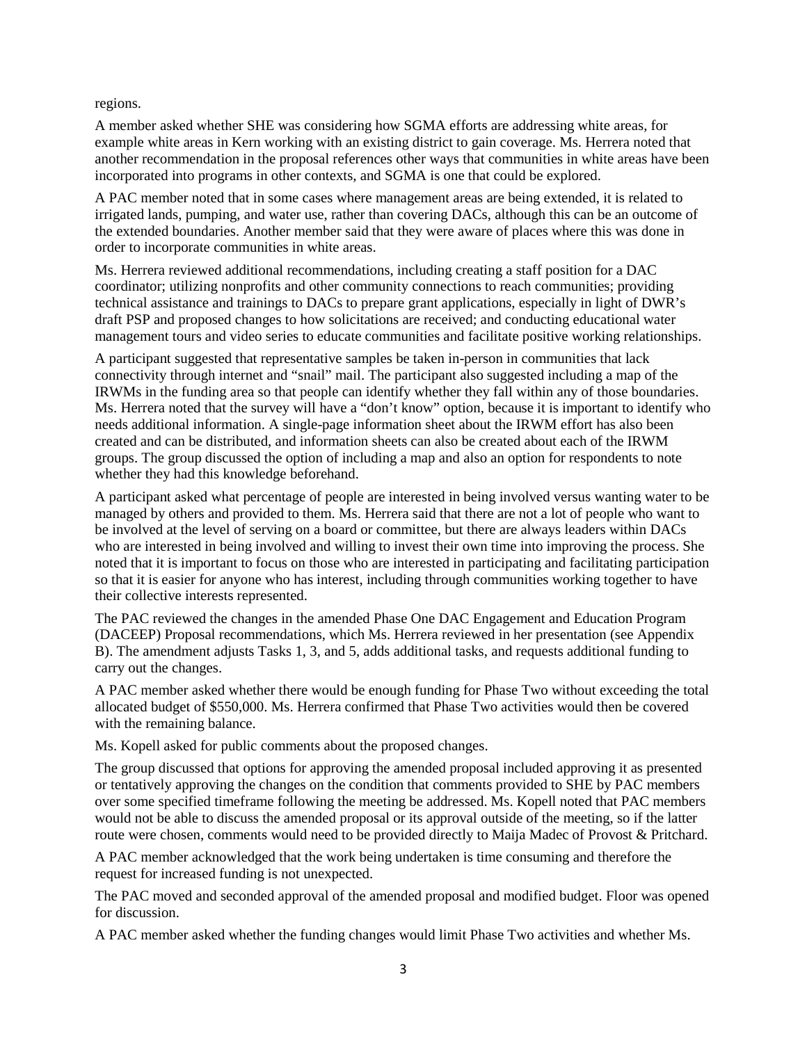regions.

A member asked whether SHE was considering how SGMA efforts are addressing white areas, for example white areas in Kern working with an existing district to gain coverage. Ms. Herrera noted that another recommendation in the proposal references other ways that communities in white areas have been incorporated into programs in other contexts, and SGMA is one that could be explored.

A PAC member noted that in some cases where management areas are being extended, it is related to irrigated lands, pumping, and water use, rather than covering DACs, although this can be an outcome of the extended boundaries. Another member said that they were aware of places where this was done in order to incorporate communities in white areas.

Ms. Herrera reviewed additional recommendations, including creating a staff position for a DAC coordinator; utilizing nonprofits and other community connections to reach communities; providing technical assistance and trainings to DACs to prepare grant applications, especially in light of DWR's draft PSP and proposed changes to how solicitations are received; and conducting educational water management tours and video series to educate communities and facilitate positive working relationships.

A participant suggested that representative samples be taken in-person in communities that lack connectivity through internet and "snail" mail. The participant also suggested including a map of the IRWMs in the funding area so that people can identify whether they fall within any of those boundaries. Ms. Herrera noted that the survey will have a "don't know" option, because it is important to identify who needs additional information. A single-page information sheet about the IRWM effort has also been created and can be distributed, and information sheets can also be created about each of the IRWM groups. The group discussed the option of including a map and also an option for respondents to note whether they had this knowledge beforehand.

A participant asked what percentage of people are interested in being involved versus wanting water to be managed by others and provided to them. Ms. Herrera said that there are not a lot of people who want to be involved at the level of serving on a board or committee, but there are always leaders within DACs who are interested in being involved and willing to invest their own time into improving the process. She noted that it is important to focus on those who are interested in participating and facilitating participation so that it is easier for anyone who has interest, including through communities working together to have their collective interests represented.

The PAC reviewed the changes in the amended Phase One DAC Engagement and Education Program (DACEEP) Proposal recommendations, which Ms. Herrera reviewed in her presentation (see Appendix B). The amendment adjusts Tasks 1, 3, and 5, adds additional tasks, and requests additional funding to carry out the changes.

A PAC member asked whether there would be enough funding for Phase Two without exceeding the total allocated budget of \$550,000. Ms. Herrera confirmed that Phase Two activities would then be covered with the remaining balance.

Ms. Kopell asked for public comments about the proposed changes.

The group discussed that options for approving the amended proposal included approving it as presented or tentatively approving the changes on the condition that comments provided to SHE by PAC members over some specified timeframe following the meeting be addressed. Ms. Kopell noted that PAC members would not be able to discuss the amended proposal or its approval outside of the meeting, so if the latter route were chosen, comments would need to be provided directly to Maija Madec of Provost & Pritchard.

A PAC member acknowledged that the work being undertaken is time consuming and therefore the request for increased funding is not unexpected.

The PAC moved and seconded approval of the amended proposal and modified budget. Floor was opened for discussion.

A PAC member asked whether the funding changes would limit Phase Two activities and whether Ms.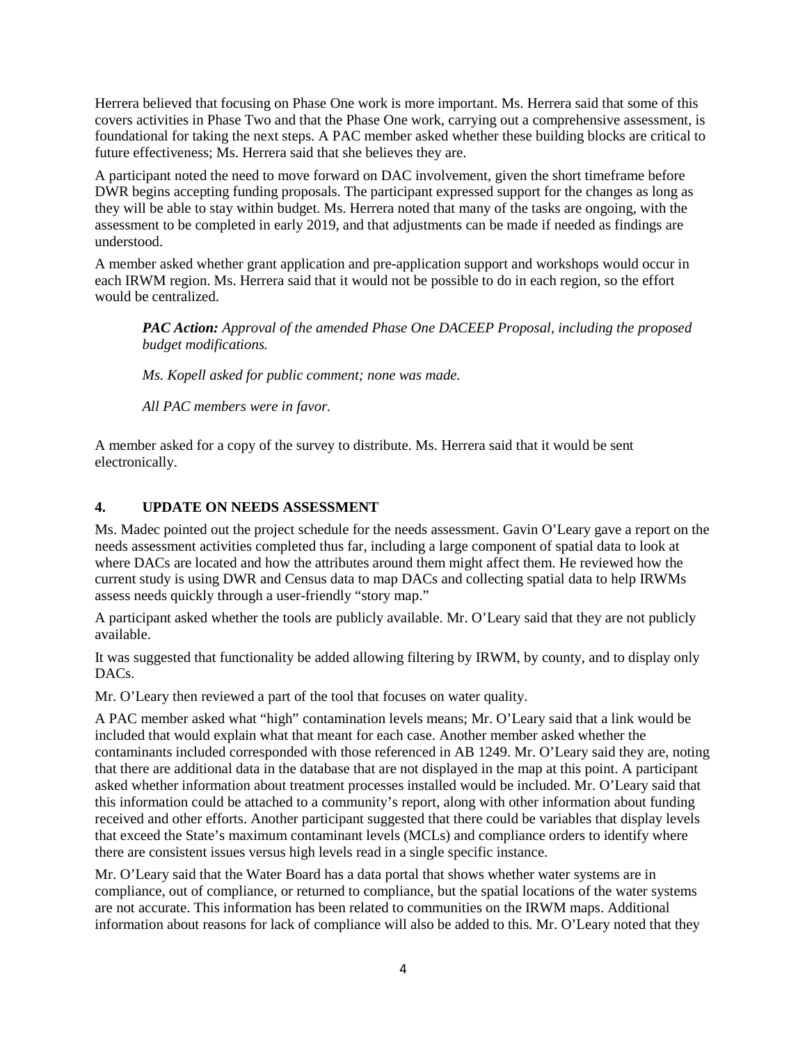Herrera believed that focusing on Phase One work is more important. Ms. Herrera said that some of this covers activities in Phase Two and that the Phase One work, carrying out a comprehensive assessment, is foundational for taking the next steps. A PAC member asked whether these building blocks are critical to future effectiveness; Ms. Herrera said that she believes they are.

A participant noted the need to move forward on DAC involvement, given the short timeframe before DWR begins accepting funding proposals. The participant expressed support for the changes as long as they will be able to stay within budget. Ms. Herrera noted that many of the tasks are ongoing, with the assessment to be completed in early 2019, and that adjustments can be made if needed as findings are understood.

A member asked whether grant application and pre-application support and workshops would occur in each IRWM region. Ms. Herrera said that it would not be possible to do in each region, so the effort would be centralized.

*PAC Action: Approval of the amended Phase One DACEEP Proposal, including the proposed budget modifications.* 

*Ms. Kopell asked for public comment; none was made.* 

*All PAC members were in favor.* 

A member asked for a copy of the survey to distribute. Ms. Herrera said that it would be sent electronically.

# **4. UPDATE ON NEEDS ASSESSMENT**

Ms. Madec pointed out the project schedule for the needs assessment. Gavin O'Leary gave a report on the needs assessment activities completed thus far, including a large component of spatial data to look at where DACs are located and how the attributes around them might affect them. He reviewed how the current study is using DWR and Census data to map DACs and collecting spatial data to help IRWMs assess needs quickly through a user-friendly "story map."

A participant asked whether the tools are publicly available. Mr. O'Leary said that they are not publicly available.

It was suggested that functionality be added allowing filtering by IRWM, by county, and to display only DACs.

Mr. O'Leary then reviewed a part of the tool that focuses on water quality.

A PAC member asked what "high" contamination levels means; Mr. O'Leary said that a link would be included that would explain what that meant for each case. Another member asked whether the contaminants included corresponded with those referenced in AB 1249. Mr. O'Leary said they are, noting that there are additional data in the database that are not displayed in the map at this point. A participant asked whether information about treatment processes installed would be included. Mr. O'Leary said that this information could be attached to a community's report, along with other information about funding received and other efforts. Another participant suggested that there could be variables that display levels that exceed the State's maximum contaminant levels (MCLs) and compliance orders to identify where there are consistent issues versus high levels read in a single specific instance.

Mr. O'Leary said that the Water Board has a data portal that shows whether water systems are in compliance, out of compliance, or returned to compliance, but the spatial locations of the water systems are not accurate. This information has been related to communities on the IRWM maps. Additional information about reasons for lack of compliance will also be added to this. Mr. O'Leary noted that they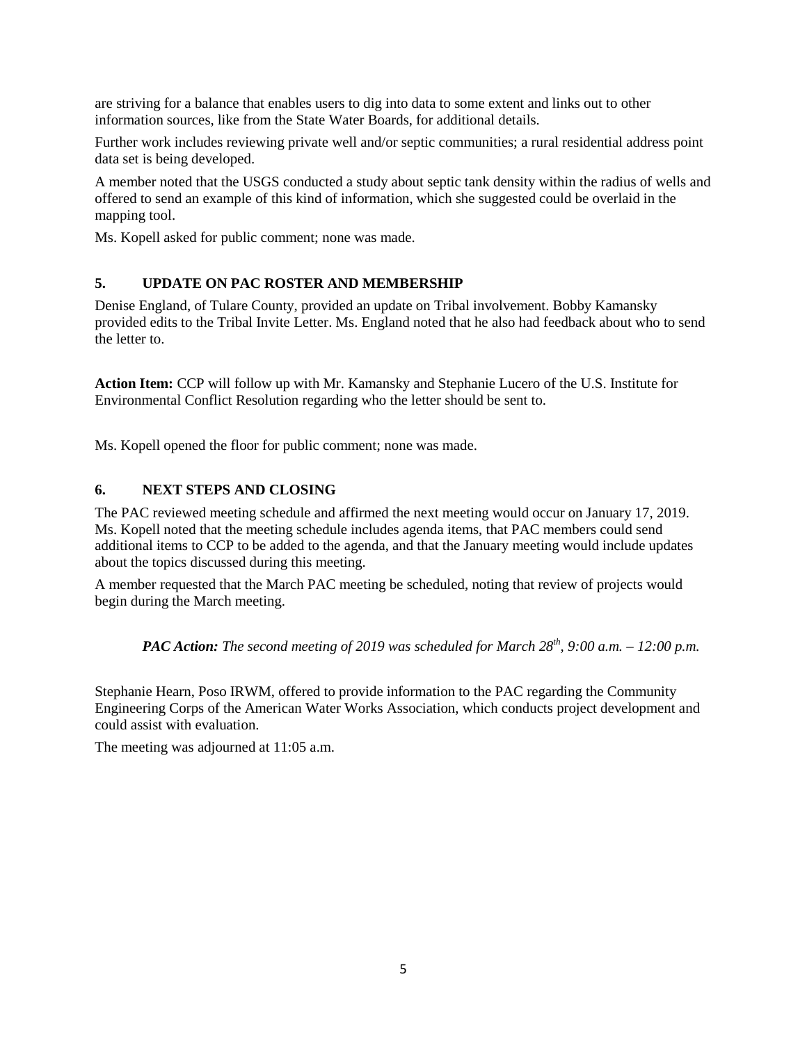are striving for a balance that enables users to dig into data to some extent and links out to other information sources, like from the State Water Boards, for additional details.

Further work includes reviewing private well and/or septic communities; a rural residential address point data set is being developed.

A member noted that the USGS conducted a study about septic tank density within the radius of wells and offered to send an example of this kind of information, which she suggested could be overlaid in the mapping tool.

Ms. Kopell asked for public comment; none was made.

## **5. UPDATE ON PAC ROSTER AND MEMBERSHIP**

Denise England, of Tulare County, provided an update on Tribal involvement. Bobby Kamansky provided edits to the Tribal Invite Letter. Ms. England noted that he also had feedback about who to send the letter to.

**Action Item:** CCP will follow up with Mr. Kamansky and Stephanie Lucero of the U.S. Institute for Environmental Conflict Resolution regarding who the letter should be sent to.

Ms. Kopell opened the floor for public comment; none was made.

## **6. NEXT STEPS AND CLOSING**

The PAC reviewed meeting schedule and affirmed the next meeting would occur on January 17, 2019. Ms. Kopell noted that the meeting schedule includes agenda items, that PAC members could send additional items to CCP to be added to the agenda, and that the January meeting would include updates about the topics discussed during this meeting.

A member requested that the March PAC meeting be scheduled, noting that review of projects would begin during the March meeting.

*PAC Action: The second meeting of 2019 was scheduled for March 28th, 9:00 a.m. – 12:00 p.m.* 

Stephanie Hearn, Poso IRWM, offered to provide information to the PAC regarding the Community Engineering Corps of the American Water Works Association, which conducts project development and could assist with evaluation.

The meeting was adjourned at 11:05 a.m.